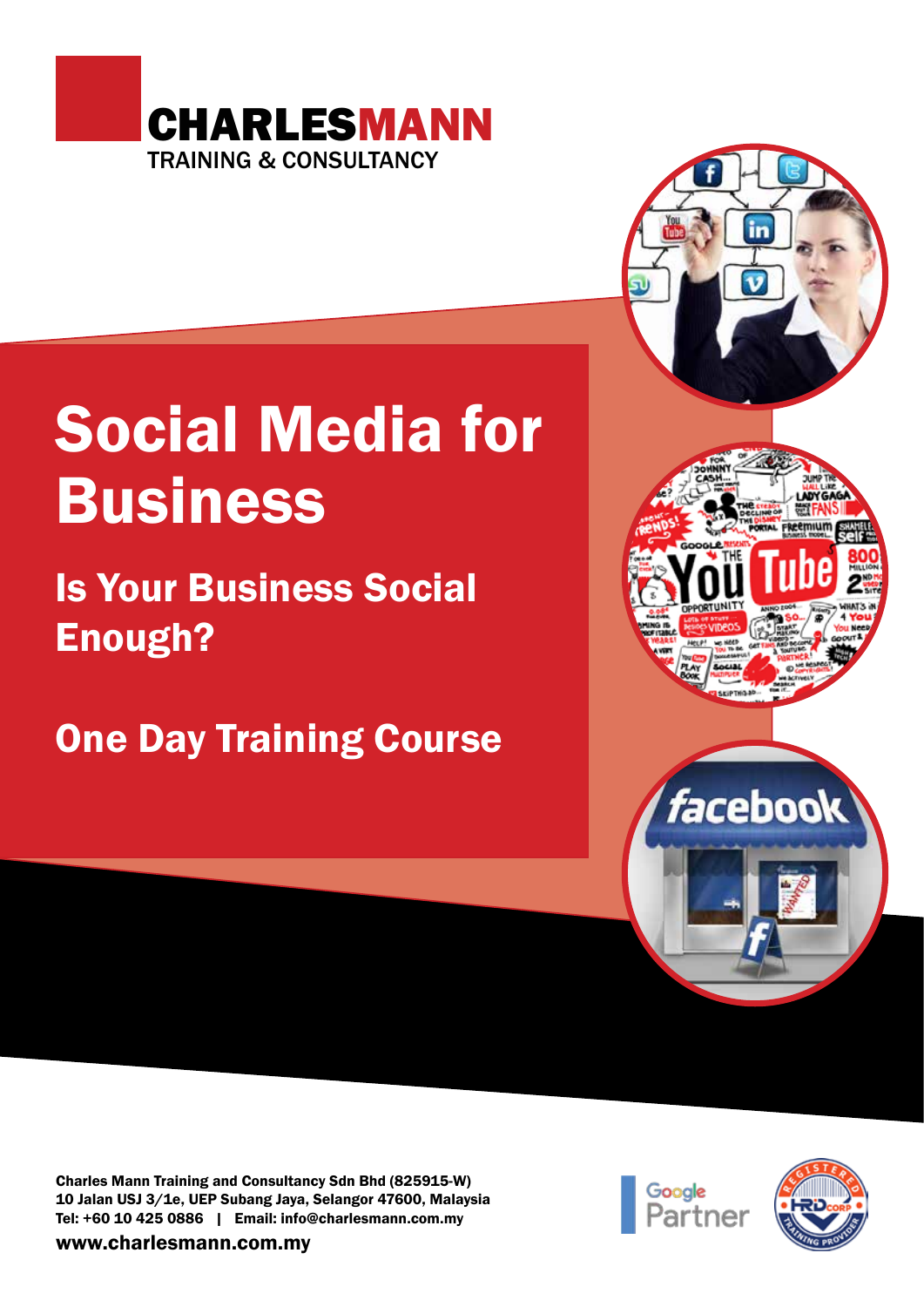

# Social Media for Business

Is Your Business Social Enough?

One Day Training Course



Charles Mann Training and Consultancy Sdn Bhd (825915-W) 10 Jalan USJ 3/1e, UEP Subang Jaya, Selangor 47600, Malaysia Tel: +60 10 425 0886 | Email: info@charlesmann.com.my

www.charlesmann.com.my



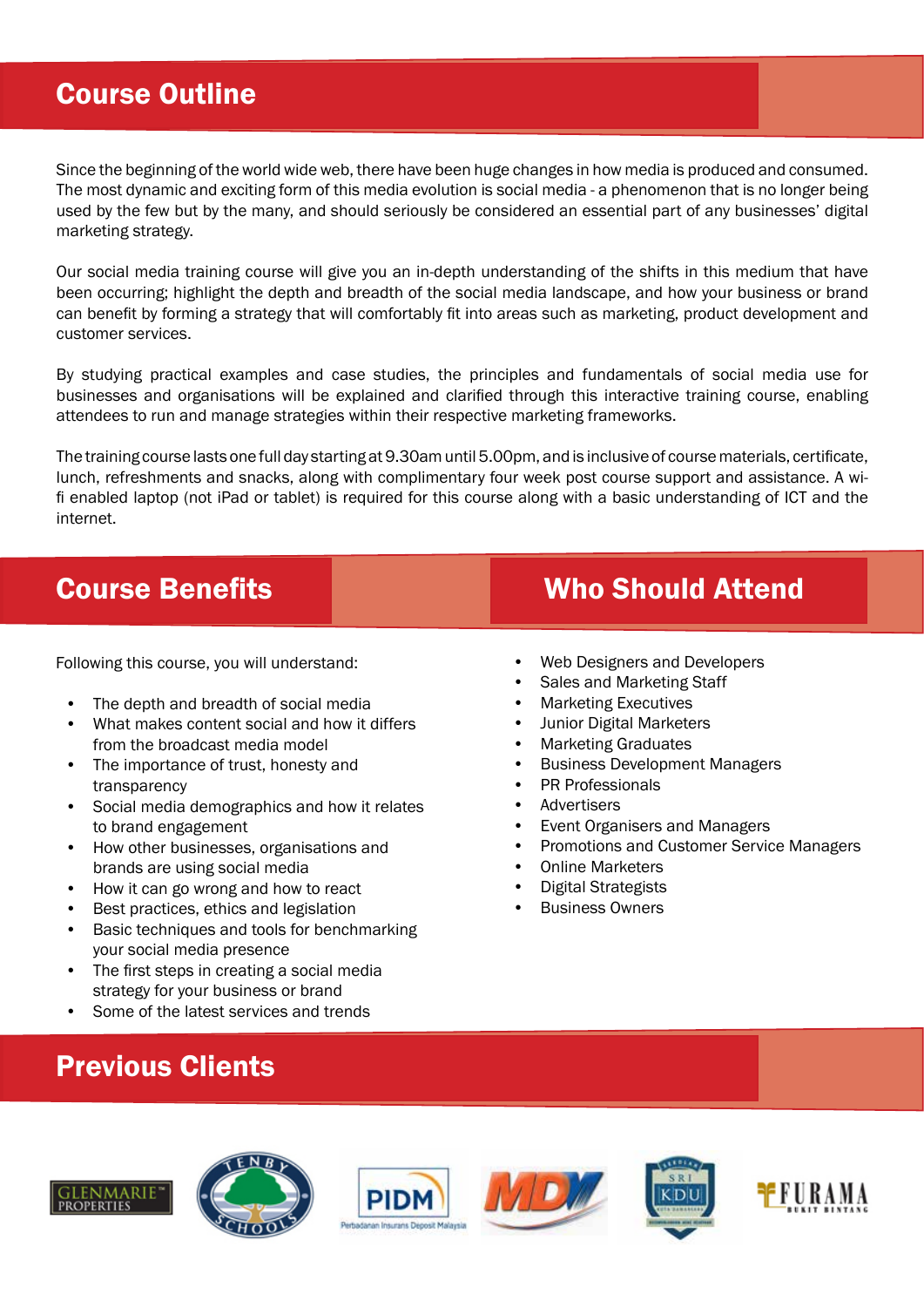#### Course Outline

Since the beginning of the world wide web, there have been huge changes in how media is produced and consumed. The most dynamic and exciting form of this media evolution is social media - a phenomenon that is no longer being used by the few but by the many, and should seriously be considered an essential part of any businesses' digital marketing strategy.

Our social media training course will give you an in-depth understanding of the shifts in this medium that have been occurring; highlight the depth and breadth of the social media landscape, and how your business or brand can benefit by forming a strategy that will comfortably fit into areas such as marketing, product development and customer services.

By studying practical examples and case studies, the principles and fundamentals of social media use for businesses and organisations will be explained and clarified through this interactive training course, enabling attendees to run and manage strategies within their respective marketing frameworks.

The training course lasts one full day starting at 9.30am until 5.00pm, and is inclusive of course materials, certificate, lunch, refreshments and snacks, along with complimentary four week post course support and assistance. A wifi enabled laptop (not iPad or tablet) is required for this course along with a basic understanding of ICT and the internet.

Following this course, you will understand:

- The depth and breadth of social media
- What makes content social and how it differs from the broadcast media model
- The importance of trust, honesty and transparency
- Social media demographics and how it relates to brand engagement
- How other businesses, organisations and brands are using social media
- How it can go wrong and how to react
- Best practices, ethics and legislation
- Basic techniques and tools for benchmarking your social media presence
- The first steps in creating a social media strategy for your business or brand
- Some of the latest services and trends

## Previous Clients













#### **Course Benefits Course Benefits** Who Should Attend

- Web Designers and Developers
- Sales and Marketing Staff
- Marketing Executives
- Junior Digital Marketers
- Marketing Graduates
- Business Development Managers
- PR Professionals
- Advertisers
- Event Organisers and Managers
- Promotions and Customer Service Managers
- Online Marketers
- Digital Strategists
- **Business Owners**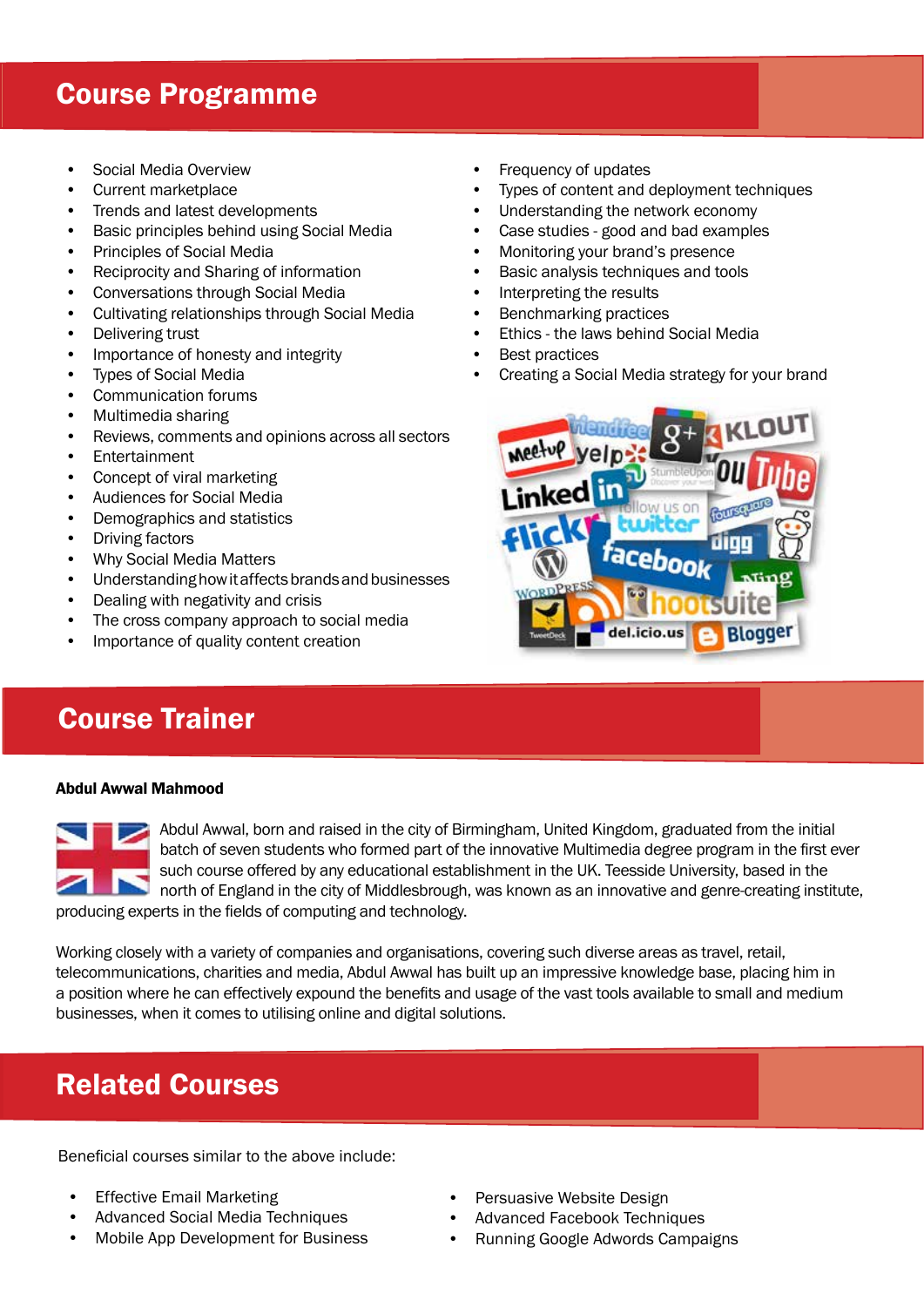#### Course Programme

- Social Media Overview
- Current marketplace
- Trends and latest developments
- Basic principles behind using Social Media
- Principles of Social Media
- Reciprocity and Sharing of information
- Conversations through Social Media
- Cultivating relationships through Social Media
- Delivering trust
- Importance of honesty and integrity
- Types of Social Media
- Communication forums
- Multimedia sharing
- Reviews, comments and opinions across all sectors
- Entertainment
- Concept of viral marketing
- Audiences for Social Media
- Demographics and statistics
- Driving factors
- Why Social Media Matters
- Understanding how it affects brands and businesses
- Dealing with negativity and crisis
- The cross company approach to social media
- Importance of quality content creation

### Course Trainer

#### Abdul Awwal Mahmood



Abdul Awwal, born and raised in the city of Birmingham, United Kingdom, graduated from the initial batch of seven students who formed part of the innovative Multimedia degree program in the first ever such course offered by any educational establishment in the UK. Teesside University, based in the north of England in the city of Middlesbrough, was known as an innovative and genre-creating institute, producing experts in the fields of computing and technology.

Working closely with a variety of companies and organisations, covering such diverse areas as travel, retail, telecommunications, charities and media, Abdul Awwal has built up an impressive knowledge base, placing him in a position where he can effectively expound the benefits and usage of the vast tools available to small and medium businesses, when it comes to utilising online and digital solutions.

### Related Courses

Beneficial courses similar to the above include:

- **Effective Email Marketing**
- Advanced Social Media Techniques
- Mobile App Development for Business
- Frequency of updates
- Types of content and deployment techniques
- Understanding the network economy
- Case studies good and bad examples
- Monitoring your brand's presence
- Basic analysis techniques and tools
- Interpreting the results
- Benchmarking practices
- Ethics the laws behind Social Media
- **Best practices**
- Creating a Social Media strategy for your brand



- Persuasive Website Design
- Advanced Facebook Techniques
- Running Google Adwords Campaigns